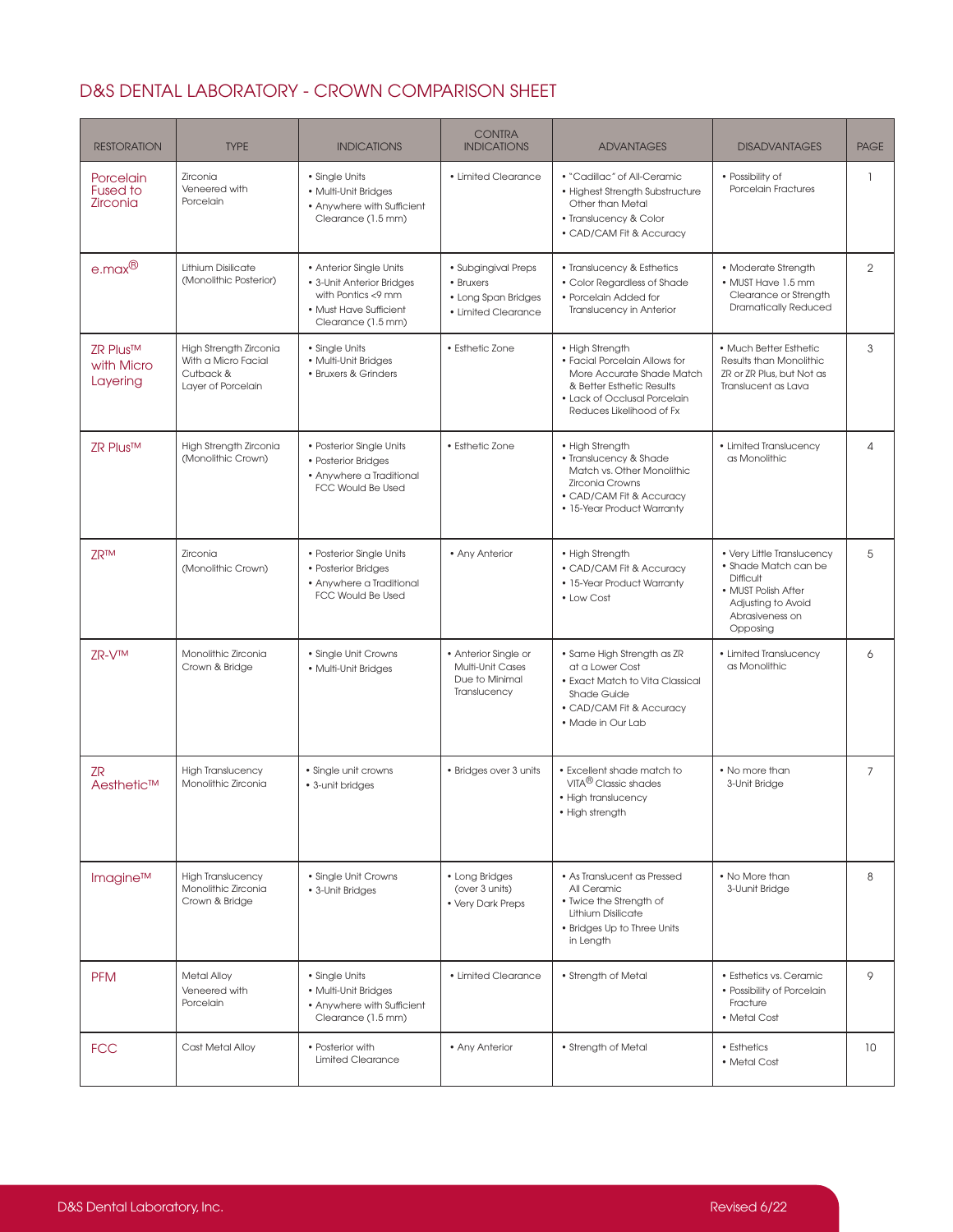## D&S DENTAL LABORATORY - CROWN COMPARISON SHEET

| <b>RESTORATION</b>                       | <b>TYPE</b>                                                                      | <b>INDICATIONS</b>                                                                                                         | <b>CONTRA</b><br><b>INDICATIONS</b>                                            | <b>ADVANTAGES</b>                                                                                                                                                      | <b>DISADVANTAGES</b>                                                                                                                               | <b>PAGE</b>    |
|------------------------------------------|----------------------------------------------------------------------------------|----------------------------------------------------------------------------------------------------------------------------|--------------------------------------------------------------------------------|------------------------------------------------------------------------------------------------------------------------------------------------------------------------|----------------------------------------------------------------------------------------------------------------------------------------------------|----------------|
| Porcelain<br><b>Fused to</b><br>Zirconia | Zirconia<br>Veneered with<br>Porcelain                                           | • Single Units<br>• Multi-Unit Bridges<br>• Anywhere with Sufficient<br>Clearance (1.5 mm)                                 | • Limited Clearance                                                            | • "Cadillac" of All-Ceramic<br>• Highest Strength Substructure<br>Other than Metal<br>• Translucency & Color<br>• CAD/CAM Fit & Accuracy                               | • Possibility of<br>Porcelain Fractures                                                                                                            | $\mathbf{1}$   |
| $e$ .max $^{\circledR}$                  | Lithium Disilicate<br>(Monolithic Posterior)                                     | • Anterior Single Units<br>• 3-Unit Anterior Bridges<br>with Pontics <9 mm<br>• Must Have Sufficient<br>Clearance (1.5 mm) | · Subgingival Preps<br>• Bruxers<br>• Long Span Bridges<br>• Limited Clearance | • Translucency & Esthetics<br>• Color Regardless of Shade<br>• Porcelain Added for<br>Translucency in Anterior                                                         | • Moderate Strength<br>• MUST Have 1.5 mm<br>Clearance or Strength<br><b>Dramatically Reduced</b>                                                  | $\overline{2}$ |
| ZR Plus™<br>with Micro<br>Layering       | High Strength Zirconia<br>With a Micro Facial<br>Cutback &<br>Layer of Porcelain | • Single Units<br>• Multi-Unit Bridges<br>• Bruxers & Grinders                                                             | • Esthetic Zone                                                                | • High Strength<br>• Facial Porcelain Allows for<br>More Accurate Shade Match<br>& Better Esthetic Results<br>• Lack of Occlusal Porcelain<br>Reduces Likelihood of Fx | • Much Better Esthetic<br>Results than Monolithic<br>ZR or ZR Plus, but Not as<br>Translucent as Lava                                              | $\mathsf 3$    |
| ZR Plus™                                 | High Strength Zirconia<br>(Monolithic Crown)                                     | • Posterior Single Units<br>• Posterior Bridges<br>• Anywhere a Traditional<br><b>FCC Would Be Used</b>                    | • Esthetic Zone                                                                | • High Strength<br>· Translucency & Shade<br>Match vs. Other Monolithic<br><b>Zirconia Crowns</b><br>• CAD/CAM Fit & Accuracy<br>• 15-Year Product Warranty            | • Limited Translucency<br>as Monolithic                                                                                                            | 4              |
| <b>ZR<sub>TM</sub></b>                   | Zirconia<br>(Monolithic Crown)                                                   | • Posterior Single Units<br>• Posterior Bridges<br>• Anywhere a Traditional<br><b>FCC Would Be Used</b>                    | • Any Anterior                                                                 | • High Strength<br>• CAD/CAM Fit & Accuracy<br>• 15-Year Product Warranty<br>• Low Cost                                                                                | • Very Little Translucency<br>• Shade Match can be<br><b>Difficult</b><br>• MUST Polish After<br>Adjusting to Avoid<br>Abrasiveness on<br>Opposing | 5              |
| ZR-VTM                                   | Monolithic Zirconia<br>Crown & Bridge                                            | • Single Unit Crowns<br>• Multi-Unit Bridges                                                                               | • Anterior Single or<br>Multi-Unit Cases<br>Due to Minimal<br>Translucency     | • Same High Strength as ZR<br>at a Lower Cost<br>• Exact Match to Vita Classical<br><b>Shade Guide</b><br>• CAD/CAM Fit & Accuracy<br>. Made in Our Lab                | • Limited Translucency<br>as Monolithic                                                                                                            | 6              |
| ZR<br>Aesthetic™                         | <b>High Translucency</b><br>Monolithic Zirconia                                  | • Single unit crowns<br>• 3-unit bridges                                                                                   | • Bridges over 3 units                                                         | • Excellent shade match to<br>VITA <sup>®</sup> Classic shades<br>• High translucency<br>• High strength                                                               | • No more than<br>3-Unit Bridge                                                                                                                    | $\overline{7}$ |
| Imagine™                                 | <b>High Translucency</b><br>Monolithic Zirconia<br>Crown & Bridge                | • Single Unit Crowns<br>• 3-Unit Bridges                                                                                   | • Long Bridges<br>(over 3 units)<br>• Very Dark Preps                          | • As Translucent as Pressed<br>All Ceramic<br>• Twice the Strength of<br>Lithium Disilicate<br>• Bridges Up to Three Units<br>in Length                                | • No More than<br>3-Uunit Bridge                                                                                                                   | 8              |
| <b>PFM</b>                               | <b>Metal Alloy</b><br>Veneered with<br>Porcelain                                 | • Single Units<br>• Multi-Unit Bridges<br>• Anywhere with Sufficient<br>Clearance (1.5 mm)                                 | • Limited Clearance                                                            | • Strength of Metal                                                                                                                                                    | · Esthetics vs. Ceramic<br>• Possibility of Porcelain<br>Fracture<br>• Metal Cost                                                                  | 9              |
| <b>FCC</b>                               | Cast Metal Alloy                                                                 | • Posterior with<br><b>Limited Clearance</b>                                                                               | • Any Anterior                                                                 | • Strength of Metal                                                                                                                                                    | • Esthetics<br>• Metal Cost                                                                                                                        | 10             |